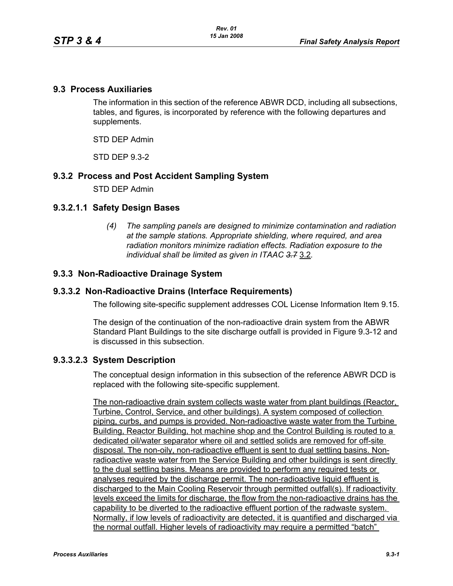### **9.3 Process Auxiliaries**

The information in this section of the reference ABWR DCD, including all subsections, tables, and figures, is incorporated by reference with the following departures and supplements.

STD DEP Admin

STD DEP 9.3-2

### **9.3.2 Process and Post Accident Sampling System**

STD DEP Admin

# **9.3.2.1.1 Safety Design Bases**

*(4) The sampling panels are designed to minimize contamination and radiation at the sample stations. Appropriate shielding, where required, and area radiation monitors minimize radiation effects. Radiation exposure to the individual shall be limited as given in ITAAC 3.7* 3.2*.*

### **9.3.3 Non-Radioactive Drainage System**

### **9.3.3.2 Non-Radioactive Drains (Interface Requirements)**

The following site-specific supplement addresses COL License Information Item 9.15.

The design of the continuation of the non-radioactive drain system from the ABWR Standard Plant Buildings to the site discharge outfall is provided in Figure 9.3-12 and is discussed in this subsection.

# **9.3.3.2.3 System Description**

The conceptual design information in this subsection of the reference ABWR DCD is replaced with the following site-specific supplement.

The non-radioactive drain system collects waste water from plant buildings (Reactor, Turbine, Control, Service, and other buildings). A system composed of collection piping, curbs, and pumps is provided. Non-radioactive waste water from the Turbine Building, Reactor Building, hot machine shop and the Control Building is routed to a dedicated oil/water separator where oil and settled solids are removed for off-site disposal. The non-oily, non-radioactive effluent is sent to dual settling basins. Nonradioactive waste water from the Service Building and other buildings is sent directly to the dual settling basins. Means are provided to perform any required tests or analyses required by the discharge permit. The non-radioactive liquid effluent is discharged to the Main Cooling Reservoir through permitted outfall(s). If radioactivity levels exceed the limits for discharge, the flow from the non-radioactive drains has the capability to be diverted to the radioactive effluent portion of the radwaste system. Normally, if low levels of radioactivity are detected, it is quantified and discharged via the normal outfall. Higher levels of radioactivity may require a permitted "batch"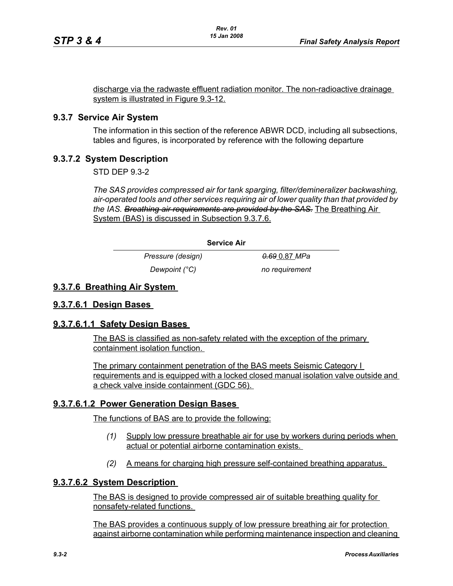discharge via the radwaste effluent radiation monitor. The non-radioactive drainage system is illustrated in Figure 9.3-12.

### **9.3.7 Service Air System**

The information in this section of the reference ABWR DCD, including all subsections, tables and figures, is incorporated by reference with the following departure

# **9.3.7.2 System Description**

STD DEP 9.3-2

*The SAS provides compressed air for tank sparging, filter/demineralizer backwashing, air-operated tools and other services requiring air of lower quality than that provided by the IAS. Breathing air requirements are provided by the SAS.* The Breathing Air System (BAS) is discussed in Subsection 9.3.7.6.

#### **Service Air**

*Pressure (design) 0.69* 0.87 *MPa Dewpoint (°C)* no requirement

#### **9.3.7.6 Breathing Air System**

#### **9.3.7.6.1 Design Bases**

#### **9.3.7.6.1.1 Safety Design Bases**

The BAS is classified as non-safety related with the exception of the primary containment isolation function.

The primary containment penetration of the BAS meets Seismic Category I requirements and is equipped with a locked closed manual isolation valve outside and a check valve inside containment (GDC 56).

# **9.3.7.6.1.2 Power Generation Design Bases**

The functions of BAS are to provide the following:

- *(1)* Supply low pressure breathable air for use by workers during periods when actual or potential airborne contamination exists.
- *(2)* A means for charging high pressure self-contained breathing apparatus.

#### **9.3.7.6.2 System Description**

The BAS is designed to provide compressed air of suitable breathing quality for nonsafety-related functions.

The BAS provides a continuous supply of low pressure breathing air for protection against airborne contamination while performing maintenance inspection and cleaning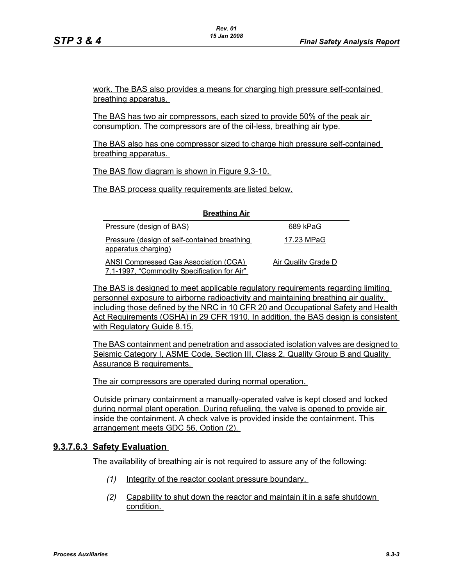work. The BAS also provides a means for charging high pressure self-contained breathing apparatus.

The BAS has two air compressors, each sized to provide 50% of the peak air consumption. The compressors are of the oil-less, breathing air type.

The BAS also has one compressor sized to charge high pressure self-contained breathing apparatus.

The BAS flow diagram is shown in Figure 9.3-10.

The BAS process quality requirements are listed below.

| Pressure (design of BAS)                                                                    | 689 kPaG            |
|---------------------------------------------------------------------------------------------|---------------------|
| Pressure (design of self-contained breathing<br>apparatus charging)                         | 17.23 MPaG          |
| <b>ANSI Compressed Gas Association (CGA)</b><br>7.1-1997, "Commodity Specification for Air" | Air Quality Grade D |

**Breathing Air**

The BAS is designed to meet applicable regulatory requirements regarding limiting personnel exposure to airborne radioactivity and maintaining breathing air quality, including those defined by the NRC in 10 CFR 20 and Occupational Safety and Health Act Requirements (OSHA) in 29 CFR 1910. In addition, the BAS design is consistent with Regulatory Guide 8.15.

The BAS containment and penetration and associated isolation valves are designed to Seismic Category I, ASME Code, Section III, Class 2, Quality Group B and Quality Assurance B requirements.

The air compressors are operated during normal operation.

Outside primary containment a manually-operated valve is kept closed and locked during normal plant operation. During refueling, the valve is opened to provide air inside the containment. A check valve is provided inside the containment. This arrangement meets GDC 56, Option (2).

#### **9.3.7.6.3 Safety Evaluation**

The availability of breathing air is not required to assure any of the following:

- *(1)* Integrity of the reactor coolant pressure boundary.
- *(2)* Capability to shut down the reactor and maintain it in a safe shutdown condition.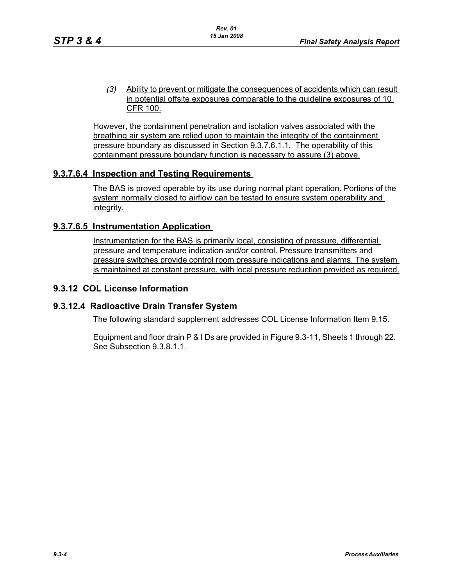*(3)* Ability to prevent or mitigate the consequences of accidents which can result in potential offsite exposures comparable to the guideline exposures of 10 CFR 100.

However, the containment penetration and isolation valves associated with the breathing air system are relied upon to maintain the integrity of the containment pressure boundary as discussed in Section 9.3.7.6.1.1. The operability of this containment pressure boundary function is necessary to assure (3) above.

# **9.3.7.6.4 Inspection and Testing Requirements**

The BAS is proved operable by its use during normal plant operation. Portions of the system normally closed to airflow can be tested to ensure system operability and integrity.

### **9.3.7.6.5 Instrumentation Application**

Instrumentation for the BAS is primarily local, consisting of pressure, differential pressure and temperature indication and/or control. Pressure transmitters and pressure switches provide control room pressure indications and alarms. The system is maintained at constant pressure, with local pressure reduction provided as required.

## **9.3.12 COL License Information**

#### **9.3.12.4 Radioactive Drain Transfer System**

The following standard supplement addresses COL License Information Item 9.15.

Equipment and floor drain P & I Ds are provided in Figure 9.3-11, Sheets 1 through 22. See Subsection 9.3.8.1.1.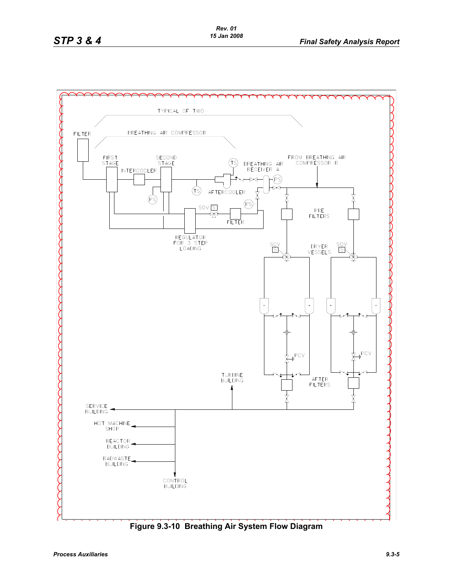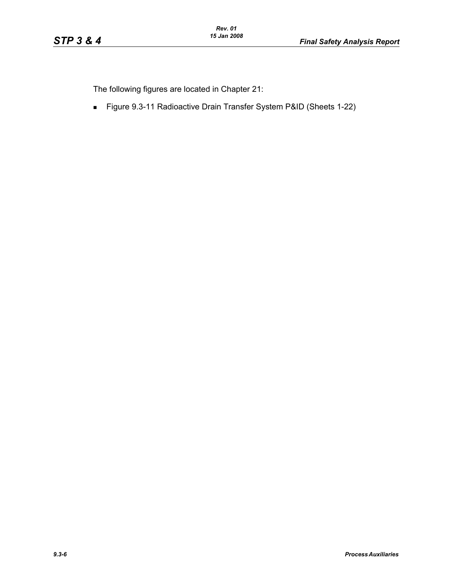The following figures are located in Chapter 21:

Figure 9.3-11 Radioactive Drain Transfer System P&ID (Sheets 1-22)